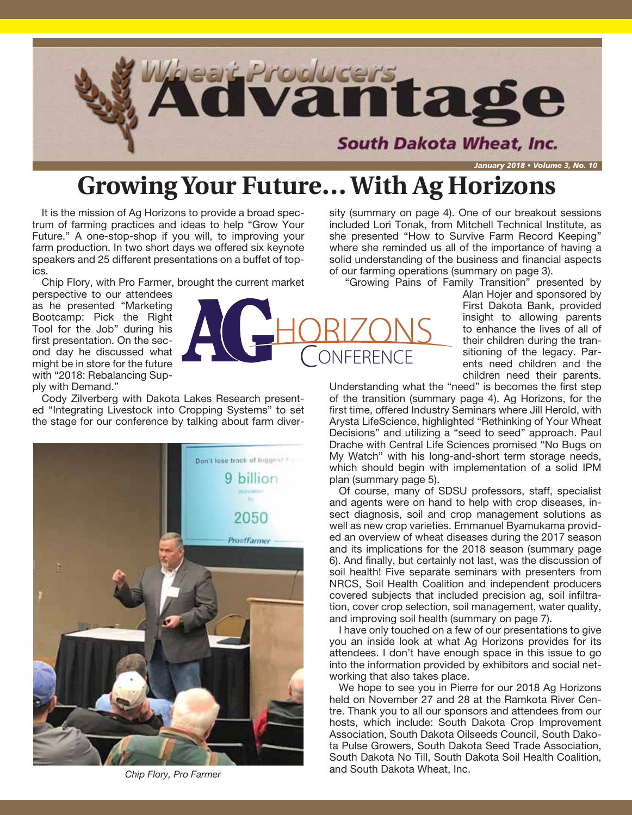

# **Growing Your Future… With Ag Horizons**

It is the mission of Ag Horizons to provide a broad spectrum of farming practices and ideas to help "Grow Your Future." A one-stop-shop if you will, to improving your farm production. In two short days we offered six keynote speakers and 25 different presentations on a buffet of topics.

Chip Flory, with Pro Farmer, brought the current market

perspective to our attendees as he presented "Marketing Bootcamp: Pick the Right Tool for the Job" during his first presentation. On the second day he discussed what might be in store for the future with "2018: Rebalancing Supply with Demand."

Cody Zilverberg with Dakota Lakes Research presented "Integrating Livestock into Cropping Systems" to set the stage for our conference by talking about farm diver-



*Chip Flory, Pro Farmer*

sity (summary on page 4). One of our breakout sessions included Lori Tonak, from Mitchell Technical Institute, as she presented "How to Survive Farm Record Keeping" where she reminded us all of the importance of having a solid understanding of the business and financial aspects of our farming operations (summary on page 3).

"Growing Pains of Family Transition" presented by

Alan Hojer and sponsored by First Dakota Bank, provided insight to allowing parents to enhance the lives of all of their children during the transitioning of the legacy. Parents need children and the children need their parents.

Understanding what the "need" is becomes the first step of the transition (summary page 4). Ag Horizons, for the first time, offered Industry Seminars where Jill Herold, with Arysta LifeScience, highlighted "Rethinking of Your Wheat Decisions" and utilizing a "seed to seed" approach. Paul Drache with Central Life Sciences promised "No Bugs on My Watch" with his long-and-short term storage needs, which should begin with implementation of a solid IPM plan (summary page 5).

Of course, many of SDSU professors, staff, specialist and agents were on hand to help with crop diseases, insect diagnosis, soil and crop management solutions as well as new crop varieties. Emmanuel Byamukama provided an overview of wheat diseases during the 2017 season and its implications for the 2018 season (summary page 6). And finally, but certainly not last, was the discussion of soil health! Five separate seminars with presenters from NRCS, Soil Health Coalition and independent producers covered subjects that included precision ag, soil infiltration, cover crop selection, soil management, water quality, and improving soil health (summary on page 7).

I have only touched on a few of our presentations to give you an inside look at what Ag Horizons provides for its attendees. I don't have enough space in this issue to go into the information provided by exhibitors and social networking that also takes place.

We hope to see you in Pierre for our 2018 Ag Horizons held on November 27 and 28 at the Ramkota River Centre. Thank you to all our sponsors and attendees from our hosts, which include: South Dakota Crop Improvement Association, South Dakota Oilseeds Council, South Dakota Pulse Growers, South Dakota Seed Trade Association, South Dakota No Till, South Dakota Soil Health Coalition, and South Dakota Wheat, Inc.

**CONFERENCE**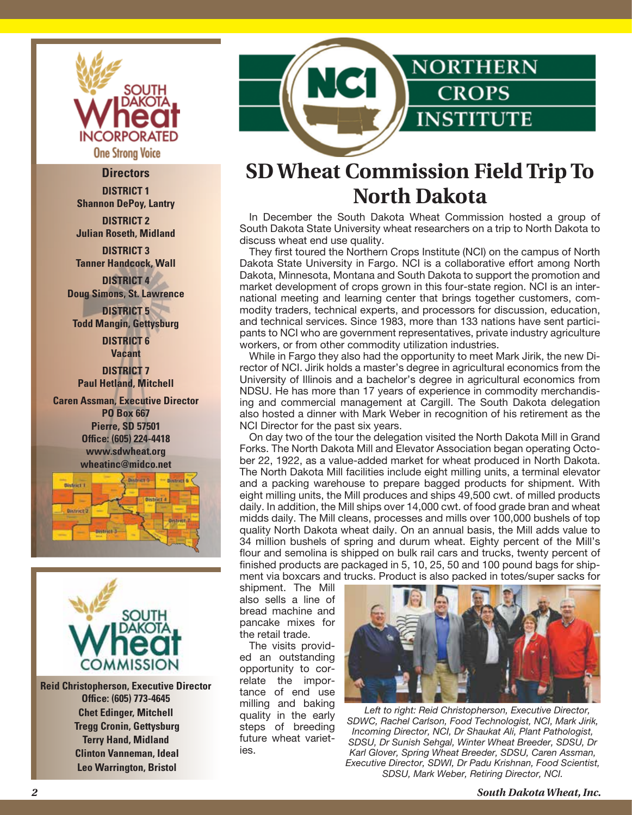

#### **Directors**

**DISTRICT 1 Shannon DePoy, Lantry**

**DISTRICT 2 Julian Roseth, Midland**

**DISTRICT 3 Tanner Handcock, Wall DISTRICT 4**

**Doug Simons, St. Lawrence**

**DISTRICT 5 Todd Mangin, Gettysburg DISTRICT 6**

**Vacant DISTRICT 7 Paul Hetland, Mitchell**

**Caren Assman, Executive Director PO Box 667 Pierre, SD 57501 Office: (605) 224-4418 www.sdwheat.org wheatinc@midco.net**





**Reid Christopherson, Executive Director Office: (605) 773-4645 Chet Edinger, Mitchell Tregg Cronin, Gettysburg Terry Hand, Midland Clinton Vanneman, Ideal Leo Warrington, Bristol**



## **SD Wheat Commission Field Trip To North Dakota**

In December the South Dakota Wheat Commission hosted a group of South Dakota State University wheat researchers on a trip to North Dakota to discuss wheat end use quality.

They first toured the Northern Crops Institute (NCI) on the campus of North Dakota State University in Fargo. NCI is a collaborative effort among North Dakota, Minnesota, Montana and South Dakota to support the promotion and market development of crops grown in this four-state region. NCI is an international meeting and learning center that brings together customers, commodity traders, technical experts, and processors for discussion, education, and technical services. Since 1983, more than 133 nations have sent participants to NCI who are government representatives, private industry agriculture workers, or from other commodity utilization industries.

While in Fargo they also had the opportunity to meet Mark Jirik, the new Director of NCI. Jirik holds a master's degree in agricultural economics from the University of Illinois and a bachelor's degree in agricultural economics from NDSU. He has more than 17 years of experience in commodity merchandising and commercial management at Cargill. The South Dakota delegation also hosted a dinner with Mark Weber in recognition of his retirement as the NCI Director for the past six years.

On day two of the tour the delegation visited the North Dakota Mill in Grand Forks. The North Dakota Mill and Elevator Association began operating October 22, 1922, as a value-added market for wheat produced in North Dakota. The North Dakota Mill facilities include eight milling units, a terminal elevator and a packing warehouse to prepare bagged products for shipment. With eight milling units, the Mill produces and ships 49,500 cwt. of milled products daily. In addition, the Mill ships over 14,000 cwt. of food grade bran and wheat midds daily. The Mill cleans, processes and mills over 100,000 bushels of top quality North Dakota wheat daily. On an annual basis, the Mill adds value to 34 million bushels of spring and durum wheat. Eighty percent of the Mill's flour and semolina is shipped on bulk rail cars and trucks, twenty percent of finished products are packaged in 5, 10, 25, 50 and 100 pound bags for shipment via boxcars and trucks. Product is also packed in totes/super sacks for

shipment. The Mill also sells a line of bread machine and pancake mixes for the retail trade.

The visits provided an outstanding opportunity to correlate the importance of end use milling and baking quality in the early steps of breeding future wheat varieties.



*Left to right: Reid Christopherson, Executive Director, SDWC, Rachel Carlson, Food Technologist, NCI, Mark Jirik, Incoming Director, NCI, Dr Shaukat Ali, Plant Pathologist, SDSU, Dr Sunish Sehgal, Winter Wheat Breeder, SDSU, Dr Karl Glover, Spring Wheat Breeder, SDSU, Caren Assman, Executive Director, SDWI, Dr Padu Krishnan, Food Scientist, SDSU, Mark Weber, Retiring Director, NCI.*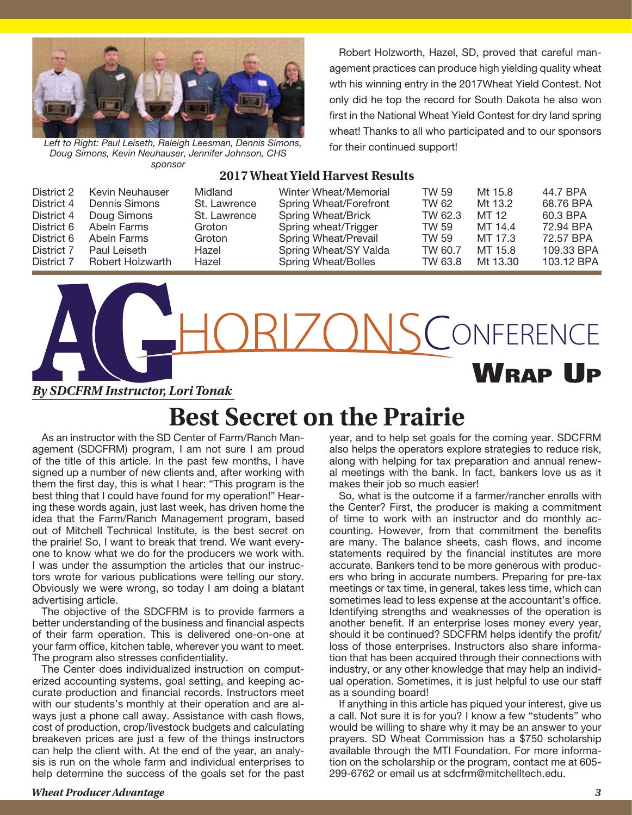

*Left to Right: Paul Leiseth, Raleigh Leesman, Dennis Simons, Doug Simons, Kevin Neuhauser, Jennifer Johnson, CHS sponsor*

Robert Holzworth, Hazel, SD, proved that careful management practices can produce high yielding quality wheat wth his winning entry in the 2017Wheat Yield Contest. Not only did he top the record for South Dakota he also won first in the National Wheat Yield Contest for dry land spring wheat! Thanks to all who participated and to our sponsors for their continued support!

#### **2017 Wheat Yield Harvest Results**

| District 2 | Kevin Neuhauser  | Midland      | Winter Wheat/Memorial  | TW 59.  | Mt 15.8  | 44.7 BPA   |
|------------|------------------|--------------|------------------------|---------|----------|------------|
| District 4 | Dennis Simons    | St. Lawrence | Spring Wheat/Forefront | TW 62   | Mt 13.2  | 68.76 BPA  |
| District 4 | Doug Simons      | St. Lawrence | Spring Wheat/Brick     | TW 62.3 | MT 12    | 60.3 BPA   |
| District 6 | Abeln Farms      | Groton       | Spring wheat/Trigger   | TW 59   | MT 14.4  | 72.94 BPA  |
| District 6 | Abeln Farms      | Groton       | Spring Wheat/Prevail   | TW 59   | MT 17.3  | 72.57 BPA  |
| District 7 | Paul Leiseth     | Hazel        | Spring Wheat/SY Valda  | TW 60.7 | MT 15.8  | 109.33 BPA |
| District 7 | Robert Holzwarth | Hazel        | Spring Wheat/Bolles    | TW 63.8 | Mt 13.30 | 103.12 BPA |

RIZONS CONFERENCE Wrap Up *By SDCFRM Instructor, Lori Tonak* 

#### **Best Secret on the Prairie**

As an instructor with the SD Center of Farm/Ranch Management (SDCFRM) program, I am not sure I am proud of the title of this article. In the past few months, I have signed up a number of new clients and, after working with them the first day, this is what I hear: "This program is the best thing that I could have found for my operation!" Hearing these words again, just last week, has driven home the idea that the Farm/Ranch Management program, based out of Mitchell Technical Institute, is the best secret on the prairie! So, I want to break that trend. We want everyone to know what we do for the producers we work with. I was under the assumption the articles that our instructors wrote for various publications were telling our story. Obviously we were wrong, so today I am doing a blatant advertising article.

The objective of the SDCFRM is to provide farmers a better understanding of the business and financial aspects of their farm operation. This is delivered one-on-one at your farm office, kitchen table, wherever you want to meet. The program also stresses confidentiality.

The Center does individualized instruction on computerized accounting systems, goal setting, and keeping accurate production and financial records. Instructors meet with our students's monthly at their operation and are always just a phone call away. Assistance with cash flows, cost of production, crop/livestock budgets and calculating breakeven prices are just a few of the things instructors can help the client with. At the end of the year, an analysis is run on the whole farm and individual enterprises to help determine the success of the goals set for the past year, and to help set goals for the coming year. SDCFRM also helps the operators explore strategies to reduce risk, along with helping for tax preparation and annual renewal meetings with the bank. In fact, bankers love us as it makes their job so much easier!

So, what is the outcome if a farmer/rancher enrolls with the Center? First, the producer is making a commitment of time to work with an instructor and do monthly accounting. However, from that commitment the benefits are many. The balance sheets, cash flows, and income statements required by the financial institutes are more accurate. Bankers tend to be more generous with producers who bring in accurate numbers. Preparing for pre-tax meetings or tax time, in general, takes less time, which can sometimes lead to less expense at the accountant's office. Identifying strengths and weaknesses of the operation is another benefit. If an enterprise loses money every year, should it be continued? SDCFRM helps identify the profit/ loss of those enterprises. Instructors also share information that has been acquired through their connections with industry, or any other knowledge that may help an individual operation. Sometimes, it is just helpful to use our staff as a sounding board!

If anything in this article has piqued your interest, give us a call. Not sure it is for you? I know a few "students" who would be willing to share why it may be an answer to your prayers. SD Wheat Commission has a \$750 scholarship available through the MTI Foundation. For more information on the scholarship or the program, contact me at 605- 299-6762 or email us at sdcfrm@mitchelltech.edu.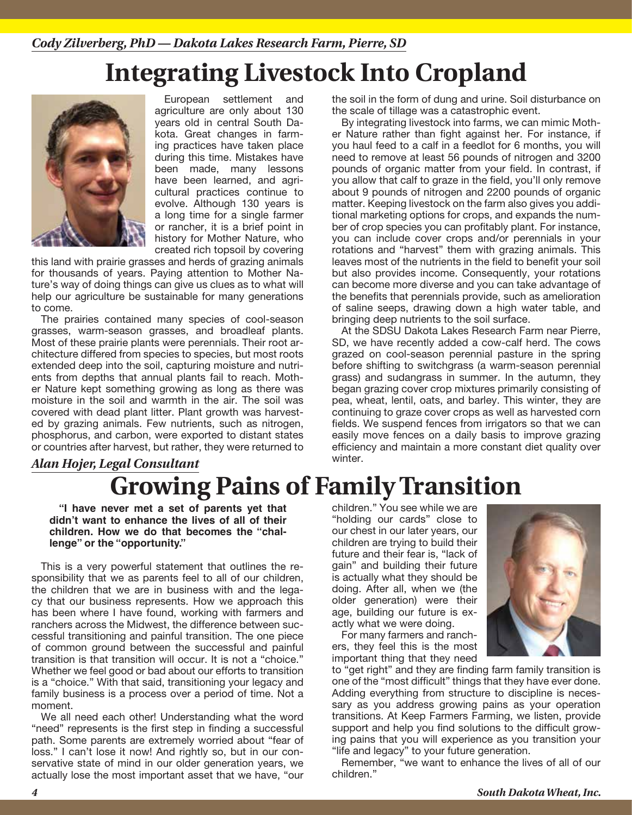# **Integrating Livestock Into Cropland**



European settlement and agriculture are only about 130 years old in central South Dakota. Great changes in farming practices have taken place during this time. Mistakes have been made, many lessons have been learned, and agricultural practices continue to evolve. Although 130 years is a long time for a single farmer or rancher, it is a brief point in history for Mother Nature, who created rich topsoil by covering

this land with prairie grasses and herds of grazing animals for thousands of years. Paying attention to Mother Nature's way of doing things can give us clues as to what will help our agriculture be sustainable for many generations to come.

The prairies contained many species of cool-season grasses, warm-season grasses, and broadleaf plants. Most of these prairie plants were perennials. Their root architecture differed from species to species, but most roots extended deep into the soil, capturing moisture and nutrients from depths that annual plants fail to reach. Mother Nature kept something growing as long as there was moisture in the soil and warmth in the air. The soil was covered with dead plant litter. Plant growth was harvested by grazing animals. Few nutrients, such as nitrogen, phosphorus, and carbon, were exported to distant states or countries after harvest, but rather, they were returned to

#### **Growing Pains of Family Transition** *Alan Hojer, Legal Consultant*

**"I have never met a set of parents yet that didn't want to enhance the lives of all of their children. How we do that becomes the "challenge" or the "opportunity."**

This is a very powerful statement that outlines the responsibility that we as parents feel to all of our children, the children that we are in business with and the legacy that our business represents. How we approach this has been where I have found, working with farmers and ranchers across the Midwest, the difference between successful transitioning and painful transition. The one piece of common ground between the successful and painful transition is that transition will occur. It is not a "choice." Whether we feel good or bad about our efforts to transition is a "choice." With that said, transitioning your legacy and family business is a process over a period of time. Not a moment.

We all need each other! Understanding what the word "need" represents is the first step in finding a successful path. Some parents are extremely worried about "fear of loss." I can't lose it now! And rightly so, but in our conservative state of mind in our older generation years, we actually lose the most important asset that we have, "our

the soil in the form of dung and urine. Soil disturbance on the scale of tillage was a catastrophic event.

By integrating livestock into farms, we can mimic Mother Nature rather than fight against her. For instance, if you haul feed to a calf in a feedlot for 6 months, you will need to remove at least 56 pounds of nitrogen and 3200 pounds of organic matter from your field. In contrast, if you allow that calf to graze in the field, you'll only remove about 9 pounds of nitrogen and 2200 pounds of organic matter. Keeping livestock on the farm also gives you additional marketing options for crops, and expands the number of crop species you can profitably plant. For instance, you can include cover crops and/or perennials in your rotations and "harvest" them with grazing animals. This leaves most of the nutrients in the field to benefit your soil but also provides income. Consequently, your rotations can become more diverse and you can take advantage of the benefits that perennials provide, such as amelioration of saline seeps, drawing down a high water table, and bringing deep nutrients to the soil surface.

At the SDSU Dakota Lakes Research Farm near Pierre, SD, we have recently added a cow-calf herd. The cows grazed on cool-season perennial pasture in the spring before shifting to switchgrass (a warm-season perennial grass) and sudangrass in summer. In the autumn, they began grazing cover crop mixtures primarily consisting of pea, wheat, lentil, oats, and barley. This winter, they are continuing to graze cover crops as well as harvested corn fields. We suspend fences from irrigators so that we can easily move fences on a daily basis to improve grazing efficiency and maintain a more constant diet quality over winter.

children." You see while we are "holding our cards" close to our chest in our later years, our children are trying to build their future and their fear is, "lack of gain" and building their future is actually what they should be doing. After all, when we (the older generation) were their age, building our future is exactly what we were doing.



For many farmers and ranchers, they feel this is the most important thing that they need

to "get right" and they are finding farm family transition is one of the "most difficult" things that they have ever done. Adding everything from structure to discipline is necessary as you address growing pains as your operation transitions. At Keep Farmers Farming, we listen, provide support and help you find solutions to the difficult growing pains that you will experience as you transition your "life and legacy" to your future generation.

Remember, "we want to enhance the lives of all of our children."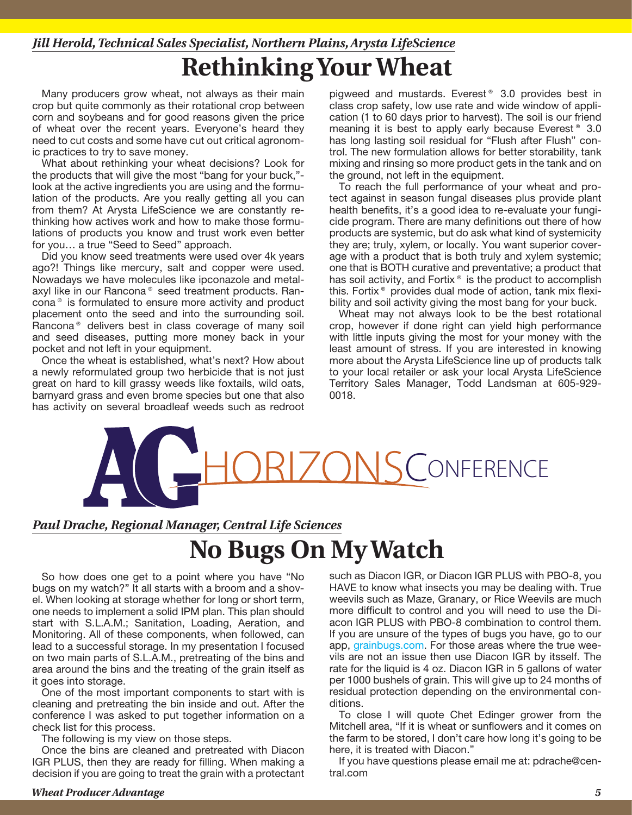#### **Rethinking Your Wheat** *Jill Herold, Technical Sales Specialist, Northern Plains, Arysta LifeScience*

Many producers grow wheat, not always as their main crop but quite commonly as their rotational crop between corn and soybeans and for good reasons given the price of wheat over the recent years. Everyone's heard they need to cut costs and some have cut out critical agronomic practices to try to save money.

What about rethinking your wheat decisions? Look for the products that will give the most "bang for your buck," look at the active ingredients you are using and the formulation of the products. Are you really getting all you can from them? At Arysta LifeScience we are constantly rethinking how actives work and how to make those formulations of products you know and trust work even better for you… a true "Seed to Seed" approach.

Did you know seed treatments were used over 4k years ago?! Things like mercury, salt and copper were used. Nowadays we have molecules like ipconazole and metalaxyl like in our Rancona® seed treatment products. Rancona® is formulated to ensure more activity and product placement onto the seed and into the surrounding soil. Rancona® delivers best in class coverage of many soil and seed diseases, putting more money back in your pocket and not left in your equipment.

Once the wheat is established, what's next? How about a newly reformulated group two herbicide that is not just great on hard to kill grassy weeds like foxtails, wild oats, barnyard grass and even brome species but one that also has activity on several broadleaf weeds such as redroot pigweed and mustards. Everest® 3.0 provides best in class crop safety, low use rate and wide window of application (1 to 60 days prior to harvest). The soil is our friend meaning it is best to apply early because Everest<sup>®</sup> 3.0 has long lasting soil residual for "Flush after Flush" control. The new formulation allows for better storability, tank mixing and rinsing so more product gets in the tank and on the ground, not left in the equipment.

To reach the full performance of your wheat and protect against in season fungal diseases plus provide plant health benefits, it's a good idea to re-evaluate your fungicide program. There are many definitions out there of how products are systemic, but do ask what kind of systemicity they are; truly, xylem, or locally. You want superior coverage with a product that is both truly and xylem systemic; one that is BOTH curative and preventative; a product that has soil activity, and Fortix<sup>®</sup> is the product to accomplish this. Fortix® provides dual mode of action, tank mix flexibility and soil activity giving the most bang for your buck.

Wheat may not always look to be the best rotational crop, however if done right can yield high performance with little inputs giving the most for your money with the least amount of stress. If you are interested in knowing more about the Arysta LifeScience line up of products talk to your local retailer or ask your local Arysta LifeScience Territory Sales Manager, Todd Landsman at 605-929- 0018.



#### **No Bugs On My Watch** *Paul Drache, Regional Manager, Central Life Sciences*

So how does one get to a point where you have "No bugs on my watch?" It all starts with a broom and a shovel. When looking at storage whether for long or short term, one needs to implement a solid IPM plan. This plan should start with S.L.A.M.; Sanitation, Loading, Aeration, and Monitoring. All of these components, when followed, can lead to a successful storage. In my presentation I focused on two main parts of S.L.A.M., pretreating of the bins and area around the bins and the treating of the grain itself as it goes into storage.

One of the most important components to start with is cleaning and pretreating the bin inside and out. After the conference I was asked to put together information on a check list for this process.

The following is my view on those steps.

Once the bins are cleaned and pretreated with Diacon IGR PLUS, then they are ready for filling. When making a decision if you are going to treat the grain with a protectant such as Diacon IGR, or Diacon IGR PLUS with PBO-8, you HAVE to know what insects you may be dealing with. True weevils such as Maze, Granary, or Rice Weevils are much more difficult to control and you will need to use the Diacon IGR PLUS with PBO-8 combination to control them. If you are unsure of the types of bugs you have, go to our app, grainbugs.com. For those areas where the true weevils are not an issue then use Diacon IGR by itsself. The rate for the liquid is 4 oz. Diacon IGR in 5 gallons of water per 1000 bushels of grain. This will give up to 24 months of residual protection depending on the environmental conditions.

To close I will quote Chet Edinger grower from the Mitchell area, "If it is wheat or sunflowers and it comes on the farm to be stored, I don't care how long it's going to be here, it is treated with Diacon."

If you have questions please email me at: pdrache@central.com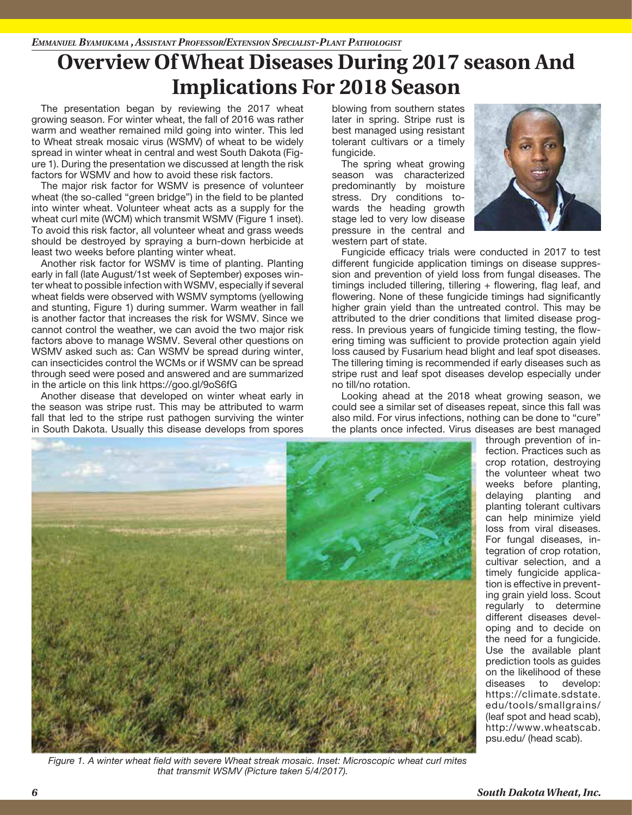## **Overview Of Wheat Diseases During 2017 season And Implications For 2018 Season**

The presentation began by reviewing the 2017 wheat growing season. For winter wheat, the fall of 2016 was rather warm and weather remained mild going into winter. This led to Wheat streak mosaic virus (WSMV) of wheat to be widely spread in winter wheat in central and west South Dakota (Figure 1). During the presentation we discussed at length the risk factors for WSMV and how to avoid these risk factors.

The major risk factor for WSMV is presence of volunteer wheat (the so-called "green bridge") in the field to be planted into winter wheat. Volunteer wheat acts as a supply for the wheat curl mite (WCM) which transmit WSMV (Figure 1 inset). To avoid this risk factor, all volunteer wheat and grass weeds should be destroyed by spraying a burn-down herbicide at least two weeks before planting winter wheat.

Another risk factor for WSMV is time of planting. Planting early in fall (late August/1st week of September) exposes winter wheat to possible infection with WSMV, especially if several wheat fields were observed with WSMV symptoms (yellowing and stunting, Figure 1) during summer. Warm weather in fall is another factor that increases the risk for WSMV. Since we cannot control the weather, we can avoid the two major risk factors above to manage WSMV. Several other questions on WSMV asked such as: Can WSMV be spread during winter, can insecticides control the WCMs or if WSMV can be spread through seed were posed and answered and are summarized in the article on this link https://goo.gl/9oS6fG

Another disease that developed on winter wheat early in the season was stripe rust. This may be attributed to warm fall that led to the stripe rust pathogen surviving the winter in South Dakota. Usually this disease develops from spores

blowing from southern states later in spring. Stripe rust is best managed using resistant tolerant cultivars or a timely fungicide.

The spring wheat growing season was characterized predominantly by moisture stress. Dry conditions towards the heading growth stage led to very low disease pressure in the central and western part of state.



Fungicide efficacy trials were conducted in 2017 to test different fungicide application timings on disease suppression and prevention of yield loss from fungal diseases. The timings included tillering, tillering + flowering, flag leaf, and flowering. None of these fungicide timings had significantly higher grain yield than the untreated control. This may be attributed to the drier conditions that limited disease progress. In previous years of fungicide timing testing, the flowering timing was sufficient to provide protection again yield loss caused by Fusarium head blight and leaf spot diseases. The tillering timing is recommended if early diseases such as stripe rust and leaf spot diseases develop especially under no till/no rotation.

Looking ahead at the 2018 wheat growing season, we could see a similar set of diseases repeat, since this fall was also mild. For virus infections, nothing can be done to "cure" the plants once infected. Virus diseases are best managed



*Figure 1. A winter wheat field with severe Wheat streak mosaic. Inset: Microscopic wheat curl mites that transmit WSMV (Picture taken 5/4/2017).*

through prevention of infection. Practices such as crop rotation, destroying the volunteer wheat two weeks before planting, delaying planting and planting tolerant cultivars can help minimize yield loss from viral diseases. For fungal diseases, integration of crop rotation, cultivar selection, and a timely fungicide application is effective in preventing grain yield loss. Scout regularly to determine different diseases developing and to decide on the need for a fungicide. Use the available plant prediction tools as guides on the likelihood of these diseases to develop: https://climate.sdstate. edu/tools/smallgrains/ (leaf spot and head scab), http://www.wheatscab. psu.edu/ (head scab).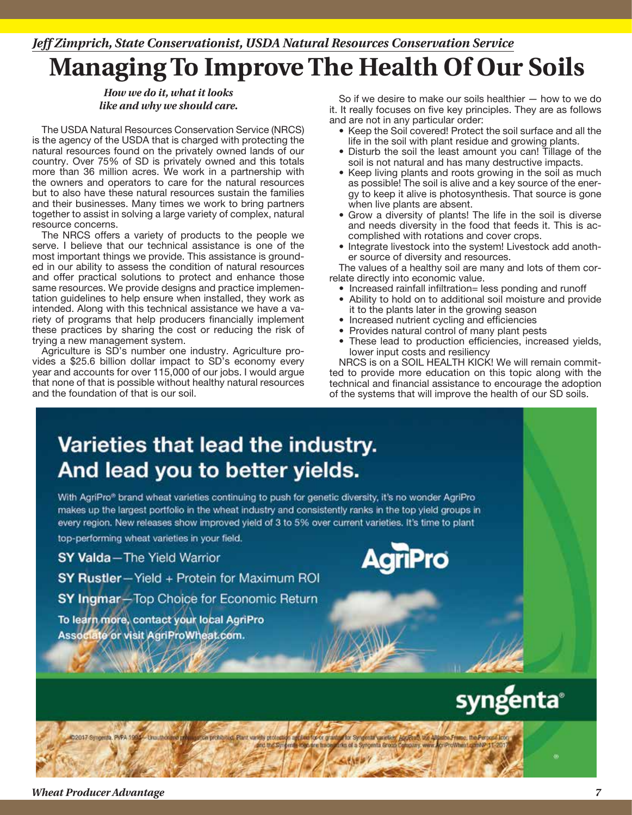## *Jeff Zimprich, State Conservationist, USDA Natural Resources Conservation Service*

## **Managing To Improve The Health Of Our Soils**

*How we do it, what it looks*

The USDA Natural Resources Conservation Service (NRCS) is the agency of the USDA that is charged with protecting the natural resources found on the privately owned lands of our country. Over 75% of SD is privately owned and this totals more than 36 million acres. We work in a partnership with the owners and operators to care for the natural resources but to also have these natural resources sustain the families and their businesses. Many times we work to bring partners together to assist in solving a large variety of complex, natural resource concerns.

The NRCS offers a variety of products to the people we serve. I believe that our technical assistance is one of the most important things we provide. This assistance is grounded in our ability to assess the condition of natural resources and offer practical solutions to protect and enhance those same resources. We provide designs and practice implementation guidelines to help ensure when installed, they work as intended. Along with this technical assistance we have a variety of programs that help producers financially implement these practices by sharing the cost or reducing the risk of trying a new management system.

Agriculture is SD's number one industry. Agriculture provides a \$25.6 billion dollar impact to SD's economy every year and accounts for over 115,000 of our jobs. I would argue that none of that is possible without healthy natural resources and the foundation of that is our soil.

*like and why we should care.* So if we desire to make our soils healthier  $-$  how to we do if we desire to make our soils healthier  $-$  how to we do if the and why we should care. it. It really focuses on five key principles. They are as follows and are not in any particular order:

- Keep the Soil covered! Protect the soil surface and all the life in the soil with plant residue and growing plants.
- Disturb the soil the least amount you can! Tillage of the soil is not natural and has many destructive impacts.
- Keep living plants and roots growing in the soil as much as possible! The soil is alive and a key source of the energy to keep it alive is photosynthesis. That source is gone when live plants are absent.
- Grow a diversity of plants! The life in the soil is diverse and needs diversity in the food that feeds it. This is accomplished with rotations and cover crops.
- Integrate livestock into the system! Livestock add another source of diversity and resources.

The values of a healthy soil are many and lots of them correlate directly into economic value.

- Increased rainfall infiltration= less ponding and runoff
- Ability to hold on to additional soil moisture and provide it to the plants later in the growing season
- Increased nutrient cycling and efficiencies
- Provides natural control of many plant pests
- These lead to production efficiencies, increased yields, lower input costs and resiliency

NRCS is on a SOIL HEALTH KICK! We will remain committed to provide more education on this topic along with the technical and financial assistance to encourage the adoption of the systems that will improve the health of our SD soils.

## Varieties that lead the industry. And lead you to better yields.

With AgriPro® brand wheat varieties continuing to push for genetic diversity, it's no wonder AgriPro makes up the largest portfolio in the wheat industry and consistently ranks in the top yield groups in every region. New releases show improved yield of 3 to 5% over current varieties. It's time to plant

top-performing wheat varieties in your field.

**SY Valda**-The Yield Warrior

SY Rustler-Yield + Protein for Maximum ROI

**SY Ingmar-Top Choice for Economic Return** 

To learn more, contact your local AgriPro Associate or visit AgriProWheat.com.



arctice for or any thir Syndental varieties, Applican, the Attache Frame, the Per-2017 Syngenta, PVPA 199 -13mmm ed, Plant variety protects centa logo are trad